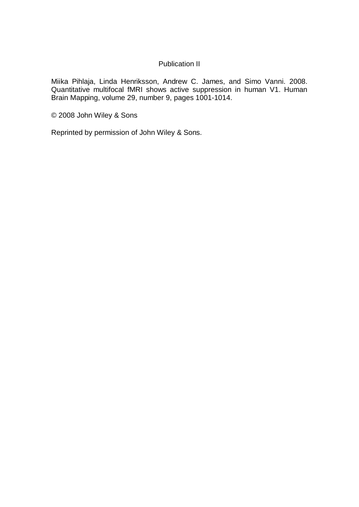## Publication II

Miika Pihlaja, Linda Henriksson, Andrew C. James, and Simo Vanni. 2008. Quantitative multifocal fMRI shows active suppression in human V1. Human Brain Mapping, volume 29, number 9, pages 1001-1014.

© 2008 John Wiley & Sons

Reprinted by permission of John Wiley & Sons.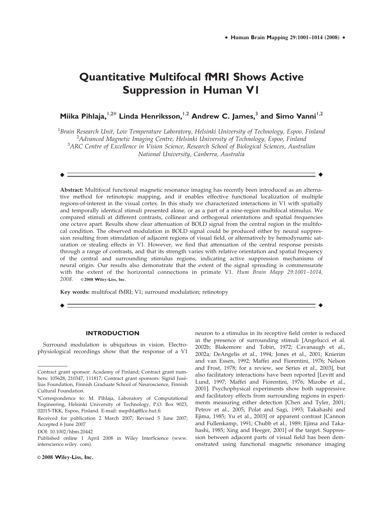# **Quantitative Multifocal fMRI Shows Active Suppression in Human V1**

**Miika Pihlaja,**1,2\* **Linda Henriksson,**1,2 **Andrew C. James,**<sup>3</sup> **and Simo Vanni**1,2

 $^1$ Brain Research Unit, Low Temperature Laboratory, Helsinki University of Technology, Espoo, Finland <sup>2</sup>Advanced Magnetic Imaging Centre, Helsinki University of Technology, Espoo, Finland <sup>3</sup>ARC Centre of Excellence in Vision Science, Research School of Biological Sciences, Australian National University, Canberra, Australia

Abstract: Multifocal functional magnetic resonance imaging has recently been introduced as an alternative method for retinotopic mapping, and it enables effective functional localization of multiple regions-of-interest in the visual cortex. In this study we characterized interactions in V1 with spatially and temporally identical stimuli presented alone, or as a part of a nine-region multifocal stimulus. We compared stimuli at different contrasts, collinear and orthogonal orientations and spatial frequencies one octave apart. Results show clear attenuation of BOLD signal from the central region in the multifocal condition. The observed modulation in BOLD signal could be produced either by neural suppression resulting from stimulation of adjacent regions of visual field, or alternatively by hemodynamic saturation or stealing effects in V1. However, we find that attenuation of the central response persists through a range of contrasts, and that its strength varies with relative orientation and spatial frequency of the central and surrounding stimulus regions, indicating active suppression mechanisms of neural origin. Our results also demonstrate that the extent of the signal spreading is commensurate with the extent of the horizontal connections in primate V1. Hum Brain Mapp 29:1001-1014, 2008. **2008 Wiley-Liss, Inc.** 

Key words: multifocal fMRI; V1; surround modulation; retinotopy

## **INTRODUCTION**

Surround modulation is ubiquitous in vision. Electrophysiological recordings show that the response of a V1

Received for publication 2 March 2007; Revised 5 June 2007; Accepted 6 June 2007

in the presence of surrounding stimuli [Angelucci et al. 2002b; Blakemore and Tobin, 1972; Cavanaugh et al., 2002a; DeAngelis et al., 1994; Jones et al., 2001; Knierim and van Essen, 1992; Maffei and Fiorentini, 1976; Nelson and Frost, 1978; for a review, see Series et al., 2003], but also facilitatory interactions have been reported [Levitt and Lund, 1997; Maffei and Fiorentini, 1976; Mizobe et al., 2001]. Psychophysical experiments show both suppressive and facilitatory effects from surrounding regions in experiments measuring either detection [Chen and Tyler, 2001; Petrov et al., 2005; Polat and Sagi, 1993; Takahashi and Ejima, 1985; Yu et al., 2003] or apparent contrast [Cannon and Fullenkamp, 1991; Chubb et al., 1989; Ejima and Takahashi, 1985; Xing and Heeger, 2001] of the target. Suppression between adjacent parts of visual field has been demonstrated using functional magnetic resonance imaging

neuron to a stimulus in its receptive field center is reduced

Contract grant sponsor: Academy of Finland; Contract grant numbers: 105628, 210347, 111817; Contract grant sponsors: Sigrid Jusélius Foundation, Finnish Graduate School of Neuroscience, Finnish Cultural Foundation.

<sup>\*</sup>Correspondence to: M. Pihlaja, Laboratory of Computational Engineering, Helsinki University of Technology, P.O. Box 9023, 02015-TKK, Espoo, Finland. E-mail: mepihlaj@lce.hut.fi

DOI: 10.1002/hbm.20442

Published online 1 April 2008 in Wiley InterScience (www. interscience.wiley. com).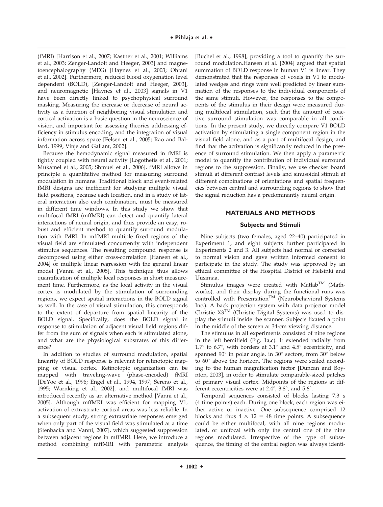(fMRI) [Harrison et al., 2007; Kastner et al., 2001; Williams et al., 2003; Zenger-Landolt and Heeger, 2003] and magnetoencephalography (MEG) [Haynes et al., 2003; Ohtani et al., 2002]. Furthermore, reduced blood oxygenation level dependent (BOLD), [Zenger-Landolt and Heeger, 2003], and neuromagnetic [Haynes et al., 2003] signals in V1 have been directly linked to psychophysical surround masking. Measuring the increase or decrease of neural activity as a function of neighboring visual stimulation and cortical activation is a basic question in the neuroscience of vision, and important for assessing theories addressing efficiency in stimulus encoding, and the integration of visual information across space [Felsen et al., 2005; Rao and Ballard, 1999; Vinje and Gallant, 2002].

Because the hemodynamic signal measured in fMRI is tightly coupled with neural activity [Logothetis et al., 2001; Mukamel et al., 2005; Shmuel et al., 2006], fMRI allows in principle a quantitative method for measuring surround modulation in humans. Traditional block and event-related fMRI designs are inefficient for studying multiple visual field positions, because each location, and in a study of lateral interaction also each combination, must be measured in different time windows. In this study we show that multifocal fMRI (mffMRI) can detect and quantify lateral interactions of neural origin, and thus provide an easy, robust and efficient method to quantify surround modulation with fMRI. In mffMRI multiple fixed regions of the visual field are stimulated concurrently with independent stimulus sequences. The resulting compound response is decomposed using either cross-correlation [Hansen et al., 2004] or multiple linear regression with the general linear model [Vanni et al., 2005]. This technique thus allows quantification of multiple local responses in short measurement time. Furthermore, as the local activity in the visual cortex is modulated by the stimulation of surrounding regions, we expect spatial interactions in the BOLD signal as well. In the case of visual stimulation, this corresponds to the extent of departure from spatial linearity of the BOLD signal. Specifically, does the BOLD signal in response to stimulation of adjacent visual field regions differ from the sum of signals when each is stimulated alone, and what are the physiological substrates of this difference?

In addition to studies of surround modulation, spatial linearity of BOLD response is relevant for retinotopic mapping of visual cortex. Retinotopic organization can be mapped with traveling-wave (phase-encoded) fMRI [DeYoe et al., 1996; Engel et al., 1994, 1997; Sereno et al., 1995; Warnking et al., 2002], and multifocal fMRI was introduced recently as an alternative method [Vanni et al., 2005]. Although mffMRI was efficient for mapping V1, activation of extrastriate cortical areas was less reliable. In a subsequent study, strong extrastriate responses emerged when only part of the visual field was stimulated at a time [Stenbacka and Vanni, 2007], which suggested suppression between adjacent regions in mffMRI. Here, we introduce a method combining mffMRI with parametric analysis

[Buchel et al., 1998], providing a tool to quantify the surround modulation.Hansen et al. [2004] argued that spatial summation of BOLD response in human V1 is linear. They demonstrated that the responses of voxels in V1 to modulated wedges and rings were well predicted by linear summation of the responses to the individual components of the same stimuli. However, the responses to the components of the stimulus in their design were measured during multifocal stimulation, such that the amount of coactive surround stimulation was comparable in all conditions. In the present study, we directly compare V1 BOLD activation by stimulating a single component region in the visual field alone, and as a part of multifocal design, and find that the activation is significantly reduced in the presence of surround stimulation. We then apply a parametric model to quantify the contribution of individual surround regions to the suppression. Finally, we use checker board stimuli at different contrast levels and sinusoidal stimuli at different combinations of orientations and spatial frequencies between central and surrounding regions to show that the signal reduction has a predominantly neural origin.

## **MATERIALS AND METHODS**

## **Subjects and Stimuli**

Nine subjects (two females, aged 22–40) participated in Experiment 1, and eight subjects further participated in Experiments 2 and 3. All subjects had normal or corrected to normal vision and gave written informed consent to participate in the study. The study was approved by an ethical committee of the Hospital District of Helsinki and Uusimaa.

Stimulus images were created with Matlab<sup>TM</sup> (Mathworks), and their display during the functional runs was controlled with Presentation<sup>TM</sup> (Neurobehavioral Systems Inc.). A back projection system with data projector model Christie  $X3^{TM}$  (Christie Digital Systems) was used to display the stimuli inside the scanner. Subjects fixated a point in the middle of the screen at 34-cm viewing distance.

The stimulus in all experiments consisted of nine regions in the left hemifield (Fig. 1a,c). It extended radially from  $1.7^{\circ}$  to 6.7°, with borders at 3.1° and 4.5° eccentricity, and spanned  $90^\circ$  in polar angle, in  $30^\circ$  sectors, from  $30^\circ$  below to  $60^\circ$  above the horizon. The regions were scaled according to the human magnification factor [Duncan and Boynton, 2003], in order to stimulate comparable-sized patches of primary visual cortex. Midpoints of the regions at different eccentricities were at 2.4 $^{\circ}$ , 3.8 $^{\circ}$ , and 5.6 $^{\circ}$ .

Temporal sequences consisted of blocks lasting 7.3 s (4 time points) each. During one block, each region was either active or inactive. One subsequence comprised 12 blocks and thus  $4 \times 12 = 48$  time points. A subsequence could be either multifocal, with all nine regions modulated, or unifocal with only the central one of the nine regions modulated. Irrespective of the type of subsequence, the timing of the central region was always identi-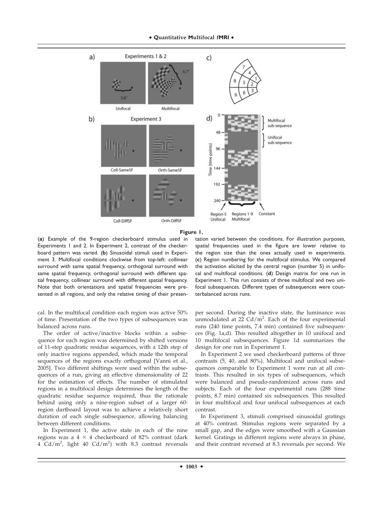

**Figure 1.**

(**a**) Example of the 9-region checkerboard stimulus used in Experiments 1 and 2. In Experiment 2, contrast of the checkerboard pattern was varied. (**b**) Sinusoidal stimuli used in Experiment 3. Multifocal conditions clockwise from top-left: collinear surround with same spatial frequency, orthogonal surround with same spatial frequency, orthogonal surround with different spatial frequency, collinear surround with different spatial frequency. Note that both orientations and spatial frequencies were presented in all regions, and only the relative timing of their presen-

cal. In the multifocal condition each region was active 50% of time. Presentation of the two types of subsequences was balanced across runs.

The order of active/inactive blocks within a subsequence for each region was determined by shifted versions of 11-step quadratic residue sequences, with a 12th step of only inactive regions appended, which made the temporal sequences of the regions exactly orthogonal [Vanni et al., 2005]. Two different shiftings were used within the subsequences of a run, giving an effective dimensionality of 22 for the estimation of effects. The number of stimulated regions in a multifocal design determines the length of the quadratic residue sequence required, thus the rationale behind using only a nine-region subset of a larger 60 region dartboard layout was to achieve a relatively short duration of each single subsequence, allowing balancing between different conditions.

In Experiment 1, the active state in each of the nine regions was a  $4 \times 4$  checkerboard of 82% contrast (dark 4  $Cd/m^2$ , light 40  $Cd/m^2$ ) with 8.3 contrast reversals

tation varied between the conditions. For illustration purposes, spatial frequencies used in the figure are lower relative to the region size than the ones actually used in experiments. (**c**) Region numbering for the multifocal stimulus. We compared the activation elicited by the central region (number 5) in unifocal and multifocal conditions. (**d**) Design matrix for one run in Experiment 1. This run consists of three multifocal and two unifocal subsequences. Different types of subsequences were counterbalanced across runs.

per second. During the inactive state, the luminance was unmodulated at 22 Cd/m<sup>2</sup>. Each of the four experimental runs (240 time points, 7.4 min) contained five subsequences (Fig. 1a,d). This resulted altogether in 10 unifocal and 10 multifocal subsequences. Figure 1d summarizes the design for one run in Experiment 1.

In Experiment 2 we used checkerboard patterns of three contrasts (5, 40, and 80%). Multifocal and unifocal subsequences comparable to Experiment 1 were run at all contrasts. This resulted in six types of subsequences, which were balanced and pseudo-randomized across runs and subjects. Each of the four experimental runs (288 time points, 8.7 min) contained six subsequences. This resulted in four multifocal and four unifocal subsequences at each contrast.

In Experiment 3, stimuli comprised sinusoidal gratings at 40% contrast. Stimulus regions were separated by a small gap, and the edges were smoothed with a Gaussian kernel. Gratings in different regions were always in phase, and their contrast reversed at 8.3 reversals per second. We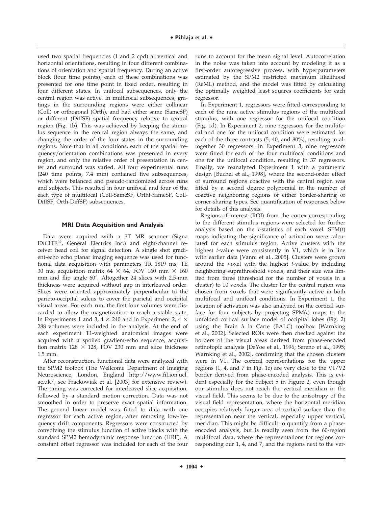used two spatial frequencies (1 and 2 cpd) at vertical and horizontal orientations, resulting in four different combinations of orientation and spatial frequency. During an active block (four time points), each of these combinations was presented for one time point in fixed order, resulting in four different states. In unifocal subsequences, only the central region was active. In multifocal subsequences, gratings in the surrounding regions were either collinear (Coll) or orthogonal (Orth), and had either same (SameSF) or different (DiffSF) spatial frequency relative to central region (Fig. 1b). This was achieved by keeping the stimulus sequence in the central region always the same, and changing the order of the four states in the surrounding regions. Note that in all conditions, each of the spatial frequency/orientation combinations was presented in every region, and only the relative order of presentation in center and surround was varied. All four experimental runs (240 time points, 7.4 min) contained five subsequences, which were balanced and pseudo-randomized across runs and subjects. This resulted in four unifocal and four of the each type of multifocal (Coll-SameSF, Ortht-SameSF, Coll-DiffSF, Orth-DiffSF) subsequences.

## **MRI Data Acquisition and Analysis**

Data were acquired with a 3T MR scanner (Signa  $EXCITE^{18}$ , General Electrics Inc.) and eight-channel receiver head coil for signal detection. A single shot gradient-echo echo planar imaging sequence was used for functional data acquisition with parameters TR 1819 ms, TE 30 ms, acquisition matrix 64  $\times$  64, FOV 160 mm  $\times$  160 mm and flip angle  $60^\circ$ . Altogether 24 slices with 2.5-mm thickness were acquired without gap in interleaved order. Slices were oriented approximately perpendicular to the parieto-occipital sulcus to cover the parietal and occipital visual areas. For each run, the first four volumes were discarded to allow the magnetization to reach a stable state. In Experiments 1 and 3, 4  $\times$  240 and in Experiment 2, 4  $\times$ 288 volumes were included in the analysis. At the end of each experiment T1-weighted anatomical images were acquired with a spoiled gradient-echo sequence, acquisition matrix 128  $\times$  128, FOV 230 mm and slice thickness 1.5 mm.

After reconstruction, functional data were analyzed with the SPM2 toolbox (The Wellcome Department of Imaging Neuroscience, London, England http://www.fil.ion.ucl. ac.uk/, see Frackowiak et al. [2003] for extensive review). The timing was corrected for interleaved slice acquisition, followed by a standard motion correction. Data was not smoothed in order to preserve exact spatial information. The general linear model was fitted to data with one regressor for each active region, after removing low-frequency drift components. Regressors were constructed by convolving the stimulus function of active blocks with the standard SPM2 hemodynamic response function (HRF). A constant offset regressor was included for each of the four

runs to account for the mean signal level. Autocorrelation in the noise was taken into account by modeling it as a first-order autoregressive process, with hyperparameters estimated by the SPM2 restricted maximum likelihood (ReML) method, and the model was fitted by calculating the optimally weighted least squares coefficients for each regressor.

In Experiment 1, regressors were fitted corresponding to each of the nine active stimulus regions of the multifocal stimulus, with one regressor for the unifocal condition (Fig. 1d). In Experiment 2, nine regressors for the multifocal and one for the unifocal condition were estimated for each of the three contrasts (5, 40, and 80%), resulting in altogether 30 regressors. In Experiment 3, nine regressors were fitted for each of the four multifocal conditions and one for the unifocal condition, resulting in 37 regressors. Finally, we reanalyzed Experiment 1 with a parametric design [Buchel et al., 1998], where the second-order effect of surround regions coactive with the central region was fitted by a second degree polynomial in the number of coactive neighboring regions of either border-sharing or corner-sharing types. See quantification of responses below for details of this analysis.

Regions-of-interest (ROI) from the cortex corresponding to the different stimulus regions were selected for further analysis based on the *t*-statistics of each voxel.  $SPM(t)$ maps indicating the significance of activation were calculated for each stimulus region. Active clusters with the highest t-value were consistently in V1, which is in line with earlier data [Vanni et al., 2005]. Clusters were grown around the voxel with the highest  $t$ -value by including neighboring suprathreshold voxels, and their size was limited from three (threshold for the number of voxels in a cluster) to 10 voxels. The cluster for the central region was chosen from voxels that were significantly active in both multifocal and unifocal conditions. In Experiment 1, the location of activation was also analyzed on the cortical surface for four subjects by projecting  $SPM(t)$  maps to the unfolded cortical surface model of occipital lobes (Fig. 2) using the Brain à la Carte (BALC) toolbox [Warnking et al., 2002]. Selected ROIs were then checked against the borders of the visual areas derived from phase-encoded retinotopic analysis [DeYoe et al., 1996; Sereno et al., 1995; Warnking et al., 2002], confirming that the chosen clusters were in V1. The cortical representations for the upper regions  $(1, 4, \text{ and } 7 \text{ in Fig. 1c})$  are very close to the V1/V2 border derived from phase-encoded analysis. This is evident especially for the Subject 5 in Figure 2, even though our stimulus does not reach the vertical meridian in the visual field. This seems to be due to the anisotropy of the visual field representation, where the horizontal meridian occupies relatively larger area of cortical surface than the representation near the vertical, especially upper vertical, meridian. This might be difficult to quantify from a phaseencoded analysis, but is readily seen from the 60-region multifocal data, where the representations for regions corresponding our 1, 4, and 7, and the regions next to the ver-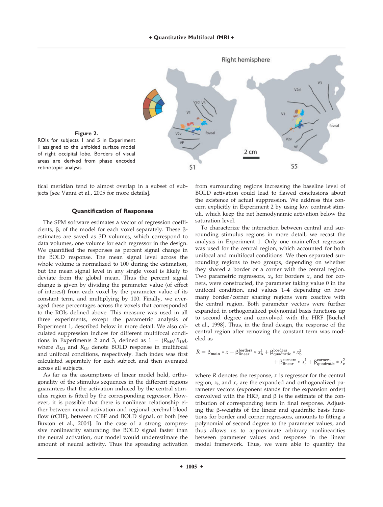

#### **Figure 2.**

ROIs for subjects 1 and 5 in Experiment 1 assigned to the unfolded surface model of right occipital lobe. Borders of visual areas are derived from phase encoded retinotopic analysis.

tical meridian tend to almost overlap in a subset of subjects [see Vanni et al., 2005 for more details].

## **Quantification of Responses**

The SPM software estimates a vector of regression coefficients,  $\beta$ , of the model for each voxel separately. These  $\beta$ estimates are saved as 3D volumes, which correspond to data volumes, one volume for each regressor in the design. We quantified the responses as percent signal change in the BOLD response. The mean signal level across the whole volume is normalized to 100 during the estimation, but the mean signal level in any single voxel is likely to deviate from the global mean. Thus the percent signal change is given by dividing the parameter value (of effect of interest) from each voxel by the parameter value of its constant term, and multiplying by 100. Finally, we averaged these percentages across the voxels that corresponded to the ROIs defined above. This measure was used in all three experiments, except the parametric analysis of Experiment 1, described below in more detail. We also calculated suppression indices for different multifocal conditions in Experiments 2 and 3, defined as  $1 - (R_{\text{Mf}}/R_{\text{Uf}})$ , where  $R_{\text{Mf}}$  and  $R_{\text{Uf}}$  denote BOLD response in multifocal and unifocal conditions, respectively. Each index was first calculated separately for each subject, and then averaged across all subjects.

As far as the assumptions of linear model hold, orthogonality of the stimulus sequences in the different regions guarantees that the activation induced by the central stimulus region is fitted by the corresponding regressor. However, it is possible that there is nonlinear relationship either between neural activation and regional cerebral blood flow (rCBF), between rCBF and BOLD signal, or both [see Buxton et al., 2004]. In the case of a strong compressive nonlinearity saturating the BOLD signal faster than the neural activation, our model would underestimate the amount of neural activity. Thus the spreading activation

from surrounding regions increasing the baseline level of BOLD activation could lead to flawed conclusions about the existence of actual suppression. We address this concern explicitly in Experiment 2 by using low contrast stimuli, which keep the net hemodynamic activation below the saturation level.

To characterize the interaction between central and surrounding stimulus regions in more detail, we recast the analysis in Experiment 1. Only one main-effect regressor was used for the central region, which accounted for both unifocal and multifocal conditions. We then separated surrounding regions to two groups, depending on whether they shared a border or a corner with the central region. Two parametric regressors,  $x<sub>b</sub>$  for borders  $x<sub>c</sub>$  and for corners, were constructed, the parameter taking value 0 in the unifocal condition, and values 1–4 depending on how many border/corner sharing regions were coactive with the central region. Both parameter vectors were further expanded in orthogonalized polynomial basis functions up to second degree and convolved with the HRF [Buchel et al., 1998]. Thus, in the final design, the response of the central region after removing the constant term was modeled as

$$
R = \beta_{\text{main}} * x + \beta_{\text{linear}}^{\text{borders}} * x_b^1 + \beta_{\text{quadratic}}^{\text{borders}} * x_b^2 + \beta_{\text{quadratic}}^{\text{corner}} * x_c^1 + \beta_{\text{quadratic}}^{\text{corner}} * x_c^2
$$

where  $R$  denotes the response,  $x$  is regressor for the central region,  $x<sub>b</sub>$  and  $x<sub>c</sub>$  are the expanded and orthogonalized parameter vectors (exponent stands for the expansion order) convolved with the HRF, and  $\beta$  is the estimate of the contribution of corresponding term in final response. Adjusting the  $\beta$ -weights of the linear and quadratic basis functions for border and corner regressors, amounts to fitting a polynomial of second degree to the parameter values, and thus allows us to approximate arbitrary nonlinearities between parameter values and response in the linear model framework. Thus, we were able to quantify the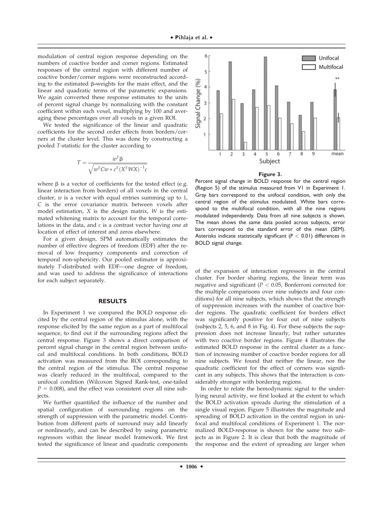modulation of central region response depending on the numbers of coactive border and corner regions. Estimated responses of the central region with different number of coactive border/corner regions were reconstructed according to the estimated  $\beta$ -weights for the main effect, and the linear and quadratic terms of the parametric expansions. We again converted these response estimates to the units of percent signal change by normalizing with the constant coefficient within each voxel, multiplying by 100 and averaging these percentages over all voxels in a given ROI.

We tested the significance of the linear and quadratic coefficients for the second order effects from borders/corners at the cluster level. This was done by constructing a pooled T-statistic for the cluster according to

$$
T = \frac{w^T \beta}{\sqrt{w^T C w + c^T (X^T W X)^{-1} c}}
$$

where  $\beta$  is a vector of coefficients for the tested effect (e.g. linear interaction from borders) of all voxels in the central cluster,  $w$  is a vector with equal entries summing up to 1, C is the error covariance matrix between voxels after model estimation, X is the design matrix, W is the estimated whitening matrix to account for the temporal correlations in the data, and  $c$  is a contrast vector having one at location of effect of interest and zeros elsewhere.

For a given design, SPM automatically estimates the number of effective degrees of freedom (EDF) after the removal of low frequency components and correction of temporal non-sphericity. Our pooled estimator is approximately T-distributed with EDF—one degree of freedom, and was used to address the significance of interactions for each subject separately.

#### **RESULTS**

In Experiment 1 we compared the BOLD response elicited by the central region of the stimulus alone, with the response elicited by the same region as a part of multifocal sequence, to find out if the surrounding regions affect the central response. Figure 3 shows a direct comparison of percent signal change in the central region between unifocal and multifocal conditions. In both conditions, BOLD activation was measured from the ROI corresponding to the central region of the stimulus. The central response was clearly reduced in the multifocal, compared to the unifocal condition (Wilcoxon Signed Rank-test, one-tailed  $P = 0.008$ ), and the effect was consistent over all nine subjects.

We further quantified the influence of the number and spatial configuration of surrounding regions on the strength of suppression with the parametric model. Contribution from different parts of surround may add linearly or nonlinearly, and can be described by using parametric regressors within the linear model framework. We first tested the significance of linear and quadratic components



#### **Figure 3.**

Percent signal change in BOLD response for the central region (Region 5) of the stimulus measured from V1 in Experiment 1. Gray bars correspond to the unifocal condition, with only the central region of the stimulus modulated. White bars correspond to the multifocal condition, with all the nine regions modulated independently. Data from all nine subjects is shown. The mean shows the same data pooled across subjects, error bars correspond to the standard error of the mean (SEM). Asterisks indicate statistically significant (*P* < 0.01) differences in BOLD signal change.

of the expansion of interaction regressors in the central cluster. For border sharing regions, the linear term was negative and significant ( $P < 0.05$ , Bonferroni corrected for the multiple comparisons over nine subjects and four conditions) for all nine subjects, which shows that the strength of suppression increases with the number of coactive border regions. The quadratic coefficient for borders effect was significantly positive for four out of nine subjects (subjects 2, 5, 6, and 8 in Fig. 4). For these subjects the suppression does not increase linearly, but rather saturates with two coactive border regions. Figure 4 illustrates the estimated BOLD response in the central cluster as a function of increasing number of coactive border regions for all nine subjects. We found that neither the linear, nor the quadratic coefficient for the effect of corners was significant in any subjects. This shows that the interaction is considerably stronger with bordering regions.

In order to relate the hemodynamic signal to the underlying neural activity, we first looked at the extent to which the BOLD activation spreads during the stimulation of a single visual region. Figure 5 illustrates the magnitude and spreading of BOLD activation in the central region in unifocal and multifocal conditions of Experiment 1. The normalized BOLD-response is shown for the same two subjects as in Figure 2. It is clear that both the magnitude of the response and the extent of spreading are larger when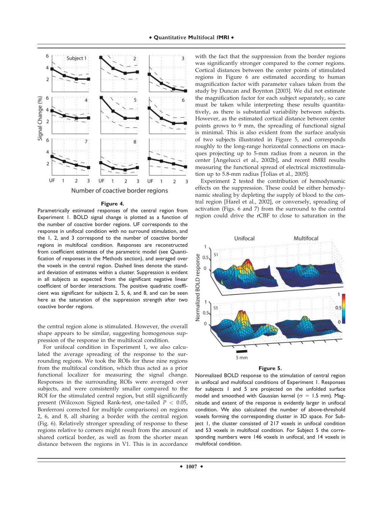

#### **Figure 4.**

Parametrically estimated responses of the central region from Experiment 1. BOLD signal change is plotted as a function of the number of coactive border regions. UF corresponds to the response in unifocal condition with no surround stimulation, and the 1, 2, and 3 correspond to the number of coactive border regions in multifocal condition. Responses are reconstructed from coefficient estimates of the parametric model (see Quantification of responses in the Methods section), and averaged over the voxels in the central region. Dashed lines denote the standard deviation of estimates within a cluster. Suppression is evident in all subjects as expected from the significant negative linear coefficient of border interactions. The positive quadratic coefficient was significant for subjects 2, 5, 6, and 8, and can be seen here as the saturation of the suppression strength after two coactive border regions.

the central region alone is stimulated. However, the overall shape appears to be similar, suggesting homogenous suppression of the response in the multifocal condition.

For unifocal condition in Experiment 1, we also calculated the average spreading of the response to the surrounding regions. We took the ROIs for these nine regions from the multifocal condition, which thus acted as a prior functional localizer for measuring the signal change. Responses in the surrounding ROIs were averaged over subjects, and were consistently smaller compared to the ROI for the stimulated central region, but still significantly present (Wilcoxon Signed Rank-test, one-tailed  $P < 0.05$ , Bonferroni corrected for multiple comparisons) on regions 2, 6, and 8, all sharing a border with the central region (Fig. 6). Relatively stronger spreading of response to these regions relative to corners might result from the amount of shared cortical border, as well as from the shorter mean distance between the regions in V1. This is in accordance with the fact that the suppression from the border regions was significantly stronger compared to the corner regions. Cortical distances between the center points of stimulated regions in Figure 6 are estimated according to human magnification factor with parameter values taken from the study by Duncan and Boynton [2003]. We did not estimate the magnification factor for each subject separately, so care must be taken while interpreting these results quantitatively, as there is substantial variability between subjects. However, as the estimated cortical distance between center points grows to 9 mm, the spreading of functional signal is minimal. This is also evident from the surface analysis of two subjects illustrated in Figure 5, and corresponds roughly to the long-range horizontal connections on macaques projecting up to 5-mm radius from a neuron in the center [Angelucci et al., 2002b], and recent fMRI results measuring the functional spread of electrical microstimulation up to 5.8-mm radius [Tolias et al., 2005].

Experiment 2 tested the contribution of hemodynamic effects on the suppression. These could be either hemodynamic stealing by depleting the supply of blood to the central region [Harel et al., 2002], or conversely, spreading of activation (Figs. 6 and 7) from the surround to the central region could drive the rCBF to close to saturation in the





Normalized BOLD response to the stimulation of central region in unifocal and multifocal conditions of Experiment 1. Responses for subjects 1 and 5 are projected on the unfolded surface model and smoothed with Gaussian kernel ( $\sigma$  = 1.5 mm). Magnitude and extent of the response is evidently larger in unifocal condition. We also calculated the number of above-threshold voxels forming the corresponding cluster in 3D space. For Subject 1, the cluster consisted of 217 voxels in unifocal condition and 53 voxels in multifocal condition. For Subject 5 the corresponding numbers were 146 voxels in unifocal, and 14 voxels in multifocal condition.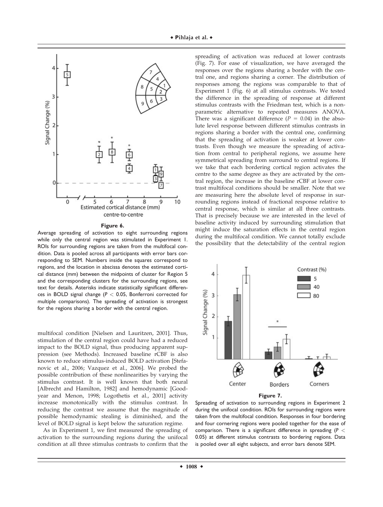

#### **Figure 6.**

Average spreading of activation to eight surrounding regions while only the central region was stimulated in Experiment 1. ROIs for surrounding regions are taken from the multifocal condition. Data is pooled across all participants with error bars corresponding to SEM. Numbers inside the squares correspond to regions, and the location in abscissa denotes the estimated cortical distance (mm) between the midpoints of cluster for Region 5 and the corresponding clusters for the surrounding regions, see text for details. Asterisks indicate statistically significant differences in BOLD signal change (*P* < 0.05, Bonferroni corrected for multiple comparisons). The spreading of activation is strongest for the regions sharing a border with the central region.

multifocal condition [Nielsen and Lauritzen, 2001]. Thus, stimulation of the central region could have had a reduced impact to the BOLD signal, thus producing apparent suppression (see Methods). Increased baseline rCBF is also known to reduce stimulus-induced BOLD activation [Stefanovic et al., 2006; Vazquez et al., 2006]. We probed the possible contribution of these nonlinearities by varying the stimulus contrast. It is well known that both neural [Albrecht and Hamilton, 1982] and hemodynamic [Goodyear and Menon, 1998; Logothetis et al., 2001] activity increase monotonically with the stimulus contrast. In reducing the contrast we assume that the magnitude of possible hemodynamic stealing is diminished, and the level of BOLD signal is kept below the saturation regime.

As in Experiment 1, we first measured the spreading of activation to the surrounding regions during the unifocal condition at all three stimulus contrasts to confirm that the spreading of activation was reduced at lower contrasts (Fig. 7). For ease of visualization, we have averaged the responses over the regions sharing a border with the central one, and regions sharing a corner. The distribution of responses among the regions was comparable to that of Experiment 1 (Fig. 6) at all stimulus contrasts. We tested the difference in the spreading of response at different stimulus contrasts with the Friedman test, which is a nonparametric alternative to repeated measures ANOVA. There was a significant difference ( $P = 0.04$ ) in the absolute level response between different stimulus contrasts in regions sharing a border with the central one, confirming that the spreading of activation is weaker at lower contrasts. Even though we measure the spreading of activation from central to peripheral regions, we assume here symmetrical spreading from surround to central regions. If we take that each bordering cortical region activates the centre to the same degree as they are activated by the central region, the increase in the baseline rCBF at lower contrast multifocal conditions should be smaller. Note that we are measuring here the absolute level of response in surrounding regions instead of fractional response relative to central response, which is similar at all three contrasts. That is precisely because we are interested in the level of baseline activity induced by surrounding stimulation that might induce the saturation effects in the central region during the multifocal condition. We cannot totally exclude the possibility that the detectability of the central region



**Figure 7.**

Spreading of activation to surrounding regions in Experiment 2 during the unifocal condition. ROIs for surrounding regions were taken from the multifocal condition. Responses in four bordering and four cornering regions were pooled together for the ease of comparison. There is a significant difference in spreading (*P* < 0.05) at different stimulus contrasts to bordering regions. Data is pooled over all eight subjects, and error bars denote SEM.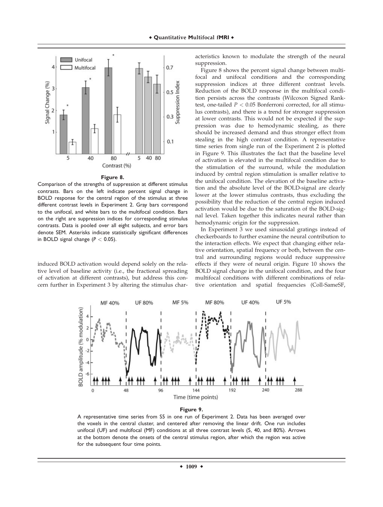

#### **Figure 8.**

Comparison of the strengths of suppression at different stimulus contrasts. Bars on the left indicate percent signal change in BOLD response for the central region of the stimulus at three different contrast levels in Experiment 2. Gray bars correspond to the unifocal, and white bars to the multifocal condition. Bars on the right are suppression indices for corresponding stimulus contrasts. Data is pooled over all eight subjects, and error bars denote SEM. Asterisks indicate statistically significant differences in BOLD signal change  $(P < 0.05)$ .

induced BOLD activation would depend solely on the relative level of baseline activity (i.e., the fractional spreading of activation at different contrasts), but address this concern further in Experiment 3 by altering the stimulus characteristics known to modulate the strength of the neural suppression.

Figure 8 shows the percent signal change between multifocal and unifocal conditions and the corresponding suppression indices at three different contrast levels. Reduction of the BOLD response in the multifocal condition persists across the contrasts (Wilcoxon Signed Ranktest, one-tailed  $P < 0.05$  Bonferroni corrected, for all stimulus contrasts), and there is a trend for stronger suppression at lower contrasts. This would not be expected if the suppression was due to hemodynamic stealing, as there should be increased demand and thus stronger effect from stealing in the high contrast condition. A representative time series from single run of the Experiment 2 is plotted in Figure 9. This illustrates the fact that the baseline level of activation is elevated in the multifocal condition due to the stimulation of the surround, while the modulation induced by central region stimulation is smaller relative to the unifocal condition. The elevation of the baseline activation and the absolute level of the BOLD-signal are clearly lower at the lower stimulus contrasts, thus excluding the possibility that the reduction of the central region induced activation would be due to the saturation of the BOLD-signal level. Taken together this indicates neural rather than hemodynamic origin for the suppression.

In Experiment 3 we used sinusoidal gratings instead of checkerboards to further examine the neural contribution to the interaction effects. We expect that changing either relative orientation, spatial frequency or both, between the central and surrounding regions would reduce suppressive effects if they were of neural origin. Figure 10 shows the BOLD signal change in the unifocal condition, and the four multifocal conditions with different combinations of relative orientation and spatial frequencies (Coll-SameSF,



#### **Figure 9.**

A representative time series from S5 in one run of Experiment 2. Data has been averaged over the voxels in the central cluster, and centered after removing the linear drift. One run includes unifocal (UF) and multifocal (MF) conditions at all three contrast levels (5, 40, and 80%). Arrows at the bottom denote the onsets of the central stimulus region, after which the region was active for the subsequent four time points.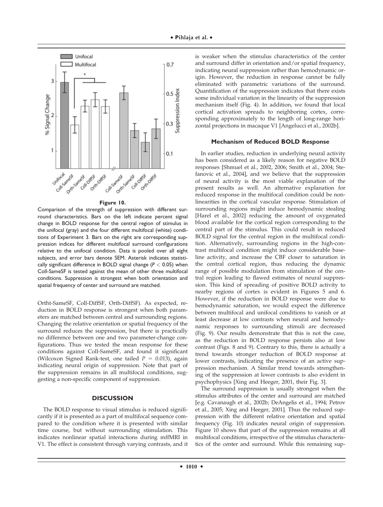

#### **Figure 10.**

Comparison of the strength of suppression with different surround characteristics. Bars on the left indicate percent signal change in BOLD response for the central region of stimulus in the unifocal (gray) and the four different multifocal (white) conditions of Experiment 3. Bars on the right are corresponding suppression indices for different multifocal surround configurations relative to the unifocal condition. Data is pooled over all eight subjects, and error bars denote SEM. Asterisk indicates statistically significant difference in BOLD signal change (*P* < 0.05) when Coll-SameSF is tested against the mean of other three multifocal conditions. Suppression is strongest when both orientation and spatial frequency of center and surround are matched.

Ortht-SameSF, Coll-DiffSF, Orth-DiffSF). As expected, reduction in BOLD response is strongest when both parameters are matched between central and surrounding regions. Changing the relative orientation or spatial frequency of the surround reduces the suppression, but there is practically no difference between one and two parameter-change configurations. Thus we tested the mean response for these conditions against Coll-SameSF, and found it significant (Wilcoxon Signed Rank-test, one tailed  $P = 0.013$ ), again indicating neural origin of suppression. Note that part of the suppression remains in all multifocal conditions, suggesting a non-specific component of suppression.

## **DISCUSSION**

The BOLD response to visual stimulus is reduced significantly if it is presented as a part of multifocal sequence compared to the condition where it is presented with similar time course, but without surrounding stimulation. This indicates nonlinear spatial interactions during mffMRI in V1. The effect is consistent through varying contrasts, and it is weaker when the stimulus characteristics of the center and surround differ in orientation and/or spatial frequency, indicating neural suppression rather than hemodynamic origin. However, the reduction in response cannot be fully eliminated with parametric variations of the surround. Quantification of the suppression indicates that there exists some individual variation in the linearity of the suppression mechanism itself (Fig. 4). In addition, we found that local cortical activation spreads to neighboring cortex, corresponding approximately to the length of long-range horizontal projections in macaque V1 [Angelucci et al., 2002b].

## **Mechanism of Reduced BOLD Response**

In earlier studies, reduction in underlying neural activity has been considered as a likely reason for negative BOLD responses [Shmuel et al., 2002, 2006; Smith et al., 2004; Stefanovic et al., 2004], and we believe that the suppression of neural activity is the most viable explanation of the present results as well. An alternative explanation for reduced response in the multifocal condition could be nonlinearities in the cortical vascular response. Stimulation of surrounding regions might induce hemodynamic stealing [Harel et al., 2002] reducing the amount of oxygenated blood available for the cortical region corresponding to the central part of the stimulus. This could result in reduced BOLD signal for the central region in the multifocal condition. Alternatively, surrounding regions in the high-contrast multifocal condition might induce considerable baseline activity, and increase the CBF closer to saturation in the central cortical region, thus reducing the dynamic range of possible modulation from stimulation of the central region leading to flawed estimates of neural suppression. This kind of spreading of positive BOLD activity to nearby regions of cortex is evident in Figures 5 and 6. However, if the reduction in BOLD response were due to hemodynamic saturation, we would expect the difference between multifocal and unifocal conditions to vanish or at least decrease at low contrasts when neural and hemodynamic responses to surrounding stimuli are decreased (Fig. 9). Our results demonstrate that this is not the case, as the reduction in BOLD response persists also at low contrast (Figs. 8 and 9). Contrary to this, there is actually a trend towards stronger reduction of BOLD response at lower contrasts, indicating the presence of an active suppression mechanism. A Similar trend towards strengthening of the suppression at lower contrasts is also evident in psychophysics [Xing and Heeger, 2001, their Fig. 3].

The surround suppression is usually strongest when the stimulus attributes of the center and surround are matched [e.g. Cavanaugh et al., 2002b; DeAngelis et al., 1994; Petrov et al., 2005; Xing and Heeger, 2001]. Thus the reduced suppression with the different relative orientation and spatial frequency (Fig. 10) indicates neural origin of suppression. Figure 10 shows that part of the suppression remains at all multifocal conditions, irrespective of the stimulus characteristics of the center and surround. While this remaining sup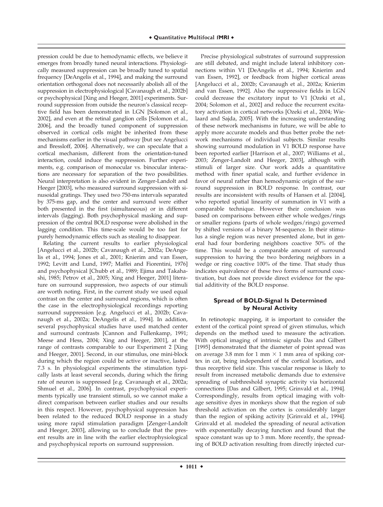pression could be due to hemodynamic effects, we believe it emerges from broadly tuned neural interactions. Physiologically measured suppression can be broadly tuned to spatial frequency [DeAngelis et al., 1994], and making the surround orientation orthogonal does not necessarily abolish all of the suppression in electrophysiological [Cavanaugh et al., 2002b] or psychophysical [Xing and Heeger, 2001] experiments. Surround suppression from outside the neuron's classical receptive field has been demonstrated in LGN [Solomon et al., 2002], and even at the retinal ganglion cells [Solomon et al., 2006], and the broadly tuned component of suppression observed in cortical cells might be inherited from these mechanisms earlier in the visual pathway [but see Angelucci and Bressloff, 2006]. Alternatively, we can speculate that a cortical mechanism, different from the orientation-tuned interaction, could induce the suppression. Further experiments, e.g. comparison of monocular vs. binocular interactions are necessary for separation of the two possibilities. Neural interpretation is also evident in Zenger-Landolt and Heeger [2003], who measured surround suppression with sinusoidal gratings. They used two 750-ms intervals separated by 375-ms gap, and the center and surround were either both presented in the first (simultaneous) or in different intervals (lagging). Both psychophysical masking and suppression of the central BOLD response were abolished in the lagging condition. This time-scale would be too fast for purely hemodynamic effects such as stealing to disappear.

Relating the current results to earlier physiological [Angelucci et al., 2002b; Cavanaugh et al., 2002a; DeAngelis et al., 1994; Jones et al., 2001; Knierim and van Essen, 1992; Levitt and Lund, 1997; Maffei and Fiorentini, 1976] and psychophysical [Chubb et al., 1989; Ejima and Takahashi, 1985; Petrov et al., 2005; Xing and Heeger, 2001] literature on surround suppression, two aspects of our stimuli are worth noting. First, in the current study we used equal contrast on the center and surround regions, which is often the case in the electrophysiological recordings reporting surround suppression [e.g. Angelucci et al., 2002b; Cavanaugh et al., 2002a; DeAngelis et al., 1994]. In addition, several psychophysical studies have used matched center and surround contrasts [Cannon and Fullenkamp, 1991; Meese and Hess, 2004; Xing and Heeger, 2001], at the range of contrasts comparable to our Experiment 2 [Xing and Heeger, 2001]. Second, in our stimulus, one mini-block during which the region could be active or inactive, lasted 7.3 s. In physiological experiments the stimulation typically lasts at least several seconds, during which the firing rate of neuron is suppressed [e.g. Cavanaugh et al., 2002a; Shmuel et al., 2006]. In contrast, psychophysical experiments typically use transient stimuli, so we cannot make a direct comparison between earlier studies and our results in this respect. However, psychophysical suppression has been related to the reduced BOLD response in a study using more rapid stimulation paradigm [Zenger-Landolt and Heeger, 2003], allowing us to conclude that the present results are in line with the earlier electrophysiological and psychophysical reports on surround suppression.

Precise physiological substrates of surround suppression are still debated, and might include lateral inhibitory connections within V1 [DeAngelis et al., 1994; Knierim and van Essen, 1992], or feedback from higher cortical areas [Angelucci et al., 2002b; Cavanaugh et al., 2002a; Knierim and van Essen, 1992]. Also the suppressive fields in LGN could decrease the excitatory input to V1 [Ozeki et al., 2004; Solomon et al., 2002] and reduce the recurrent excitatory activation in cortical networks [Ozeki et al., 2004; Wielaard and Sajda, 2005]. With the increasing understanding of these network mechanisms in future, we will be able to apply more accurate models and thus better probe the network mechanisms of individual subjects. Similar results showing surround modulation in V1 BOLD response have been reported earlier [Harrison et al., 2007; Williams et al., 2003; Zenger-Landolt and Heeger, 2003], although with stimuli of larger size. Our work adds a quantitative method with finer spatial scale, and further evidence in favor of neural rather than hemodynamic origin of the surround suppression in BOLD response. In contrast, our results are inconsistent with results of Hansen et al. [2004], who reported spatial linearity of summation in V1 with a comparable technique. However their conclusion was based on comparisons between either whole wedges/rings or smaller regions (parts of whole wedges/rings) governed by shifted versions of a binary M-sequence. In their stimulus a single region was never presented alone, but in general had four bordering neighbors coactive 50% of the time. This would be a comparable amount of surround suppression to having the two bordering neighbors in a wedge or ring coactive 100% of the time. That study thus indicates equivalence of these two forms of surround coactivation, but does not provide direct evidence for the spatial additivity of the BOLD response.

## **Spread of BOLD-Signal Is Determined by Neural Activity**

In retinotopic mapping, it is important to consider the extent of the cortical point spread of given stimulus, which depends on the method used to measure the activation. With optical imaging of intrinsic signals Das and Gilbert [1995] demonstrated that the diameter of point spread was on average 3.8 mm for 1 mm  $\times$  1 mm area of spiking cortex in cat, being independent of the cortical location, and thus receptive field size. This vascular response is likely to result from increased metabolic demands due to extensive spreading of subthreshold synaptic activity via horizontal connections [Das and Gilbert, 1995; Grinvald et al., 1994]. Correspondingly, results from optical imaging with voltage sensitive dyes in monkeys show that the region of sub threshold activation on the cortex is considerably larger than the region of spiking activity [Grinvald et al., 1994]. Grinvald et al. modeled the spreading of neural activation with exponentially decaying function and found that the space constant was up to 3 mm. More recently, the spreading of BOLD activation resulting from directly injected cur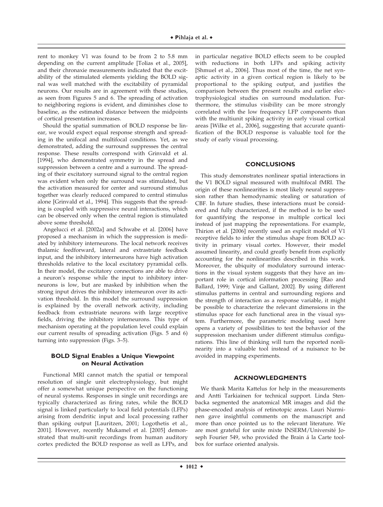rent to monkey V1 was found to be from 2 to 5.8 mm depending on the current amplitude [Tolias et al., 2005], and their chronaxie measurements indicated that the excitability of the stimulated elements yielding the BOLD signal was well matched with the excitability of pyramidal neurons. Our results are in agreement with these studies, as seen from Figures 5 and 6. The spreading of activation to neighboring regions is evident, and diminishes close to baseline, as the estimated distance between the midpoints of cortical presentation increases.

Should the spatial summation of BOLD response be linear, we would expect equal response strength and spreading in the unifocal and multifocal conditions. Yet, as we demonstrated, adding the surround suppresses the central response. These results correspond with Grinvald et al. [1994], who demonstrated symmetry in the spread and suppression between a centre and a surround. The spreading of their excitatory surround signal to the central region was evident when only the surround was stimulated, but the activation measured for center and surround stimulus together was clearly reduced compared to central stimulus alone [Grinvald et al., 1994]. This suggests that the spreading is coupled with suppressive neural interactions, which can be observed only when the central region is stimulated above some threshold.

Angelucci et al. [2002a] and Schwabe et al. [2006] have proposed a mechanism in which the suppression is mediated by inhibitory interneurons. The local network receives thalamic feedforward, lateral and extrastriate feedback input, and the inhibitory interneurons have high activation thresholds relative to the local excitatory pyramidal cells. In their model, the excitatory connections are able to drive a neuron's response while the input to inhibitory interneurons is low, but are masked by inhibition when the strong input drives the inhibitory interneuron over its activation threshold. In this model the surround suppression is explained by the overall network activity, including feedback from extrastriate neurons with large receptive fields, driving the inhibitory interneurons. This type of mechanism operating at the population level could explain our current results of spreading activation (Figs. 5 and 6) turning into suppression (Figs. 3–5).

## **BOLD Signal Enables a Unique Viewpoint on Neural Activation**

Functional MRI cannot match the spatial or temporal resolution of single unit electrophysiology, but might offer a somewhat unique perspective on the functioning of neural systems. Responses in single unit recordings are typically characterized as firing rates, while the BOLD signal is linked particularly to local field potentials (LFPs) arising from dendritic input and local processing rather than spiking output [Lauritzen, 2001; Logothetis et al., 2001]. However, recently Mukamel et al. [2005] demonstrated that multi-unit recordings from human auditory cortex predicted the BOLD response as well as LFPs, and

in particular negative BOLD effects seem to be coupled with reductions in both LFPs and spiking activity [Shmuel et al., 2006]. Thus most of the time, the net synaptic activity in a given cortical region is likely to be proportional to the spiking output, and justifies the comparison between the present results and earlier electrophysiological studies on surround modulation. Furthermore, the stimulus visibility can be more strongly correlated with the low frequency LFP components than with the multiunit spiking activity in early visual cortical areas [Wilke et al., 2006], suggesting that accurate quantification of the BOLD response is valuable tool for the study of early visual processing.

## **CONCLUSIONS**

This study demonstrates nonlinear spatial interactions in the V1 BOLD signal measured with multifocal fMRI. The origin of these nonlinearities is most likely neural suppression rather than hemodynamic stealing or saturation of CBF. In future studies, these interactions must be considered and fully characterized, if the method is to be used for quantifying the response in multiple cortical loci instead of just mapping the representations. For example, Thirion et al. [2006] recently used an explicit model of V1 receptive fields to infer the stimulus shape from BOLD activity in primary visual cortex. However, their model assumed linearity, and could greatly benefit from explicitly accounting for the nonlinearities described in this work. Moreover, the ubiquity of modulatory surround interactions in the visual system suggests that they have an important role in cortical information processing [Rao and Ballard, 1999; Vinje and Gallant, 2002]. By using different stimulus patterns in central and surrounding regions and the strength of interaction as a response variable, it might be possible to characterize the relevant dimensions in the stimulus space for each functional area in the visual system. Furthermore, the parametric modeling used here opens a variety of possibilities to test the behavior of the suppression mechanism under different stimulus configurations. This line of thinking will turn the reported nonlinearity into a valuable tool instead of a nuisance to be avoided in mapping experiments.

#### **ACKNOWLEDGMENTS**

We thank Marita Kattelus for help in the measurements and Antti Tarkiainen for technical support. Linda Stenbacka segmented the anatomical MR images and did the phase-encoded analysis of retinotopic areas. Lauri Nurminen gave insightful comments on the manuscript and more than once pointed us to the relevant literature. We are most grateful for unite mixte INSERM/Université Joseph Fourier 549, who provided the Brain á la Carte toolbox for surface oriented analysis.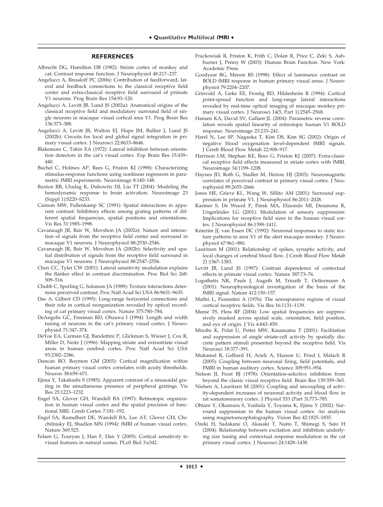#### **REFERENCES**

- Albrecht DG, Hamilton DB (1982): Striate cortex of monkey and cat: Contrast response function. J Neurophysiol 48:217–237.
- Angelucci A, Bressloff PC (2006): Contribution of feedforward, lateral and feedback connections to the classical receptive field center and extra-classical receptive field surround of primate V1 neurons. Prog Brain Res 154:93–120.
- Angelucci A, Levitt JB, Lund JS (2002a): Anatomical origins of the classical receptive field and modulatory surround field of single neurons in macaque visual cortical area V1. Prog Brain Res 136:373–388.
- Angelucci A, Levitt JB, Walton EJ, Hupe JM, Bullier J, Lund JS (2002b): Circuits for local and global signal integration in primary visual cortex. J Neurosci 22:8633–8646.
- Blakemore C, Tobin EA (1972): Lateral inhibition between orientation detectors in the cat's visual cortex. Exp Brain Res 15:439– 440.
- Buchel C, Holmes AP, Rees G, Friston KJ (1998): Characterizing stimulus-response functions using nonlinear regressors in parametric fMRI experiments. Neuroimage 8:140–148.
- Buxton RB, Uludag K, Dubowitz DJ, Liu TT (2004): Modeling the hemodynamic response to brain activation. Neuroimage 23 (Suppl 1):S220–S233.
- Cannon MW, Fullenkamp SC (1991): Spatial interactions in apparent contrast: Inhibitory effects among grating patterns of different spatial frequencies, spatial positions and orientations. Vis Res 31:1985–1998.
- Cavanaugh JR, Bair W, Movshon JA (2002a): Nature and interaction of signals from the receptive field center and surround in macaque V1 neurons. J Neurophysiol 88:2530–2546.
- Cavanaugh JR, Bair W, Movshon JA (2002b): Selectivity and spatial distribution of signals from the receptive field surround in macaque V1 neurons. J Neurophysiol 88:2547–2556.
- Chen CC, Tyler CW (2001): Lateral sensitivity modulation explains the flanker effect in contrast discrimination. Proc Biol Sci 268: 509–516.
- Chubb C, Sperling G, Solomon JA (1989): Texture interactions determine perceived contrast. Proc Natl Acad Sci USA 86:9631–9635.
- Das A, Gilbert CD (1995): Long-range horizontal connections and their role in cortical reorganization revealed by optical recording of cat primary visual cortex. Nature 375:780–784.
- DeAngelis GC, Freeman RD, Ohzawa I (1994): Length and width tuning of neurons in the cat's primary visual cortex. J Neurophysiol 71:347–374.
- DeYoe EA, Carman GJ, Bandettini P, Glickman S, Wieser J, Cox R, Miller D, Neitz J (1996): Mapping striate and extrastriate visual areas in human cerebral cortex. Proc Natl Acad Sci USA 93:2382–2386.
- Duncan RO, Boynton GM (2003): Cortical magnification within human primary visual cortex correlates with acuity thresholds. Neuron 38:659–671.
- Ejima Y, Takahashi S (1985): Apparent contrast of a sinusoidal grating in the simultaneous presence of peripheral gratings. Vis Res 25:1223–1232.
- Engel SA, Glover GH, Wandell BA (1997): Retinotopic organization in human visual cortex and the spatial precision of functional MRI. Cereb Cortex 7:181–192.
- Engel SA, Rumelhart DE, Wandell BA, Lee AT, Glover GH, Chichilnisky EJ, Shadlen MN (1994): fMRI of human visual cortex. Nature 369:525.
- Felsen G, Touryan J, Han F, Dan Y (2005): Cortical sensitivity to visual features in natural scenes. PLoS Biol 3:e342.
- Frackowiak R, Friston K, Frith C, Dolan R, Price C, Zeki S, Ashburner J, Penny W (2003): Human Brain Function. New York: Academic Press.
- Goodyear BG, Menon RS (1998): Effect of luminance contrast on BOLD fMRI response in human primary visual areas. J Neurophysiol 79:2204–2207.
- Grinvald A, Lieke EE, Frostig RD, Hildesheim R (1994): Cortical point-spread function and long-range lateral interactions revealed by real-time optical imaging of macaque monkey primary visual cortex. J Neurosci 14(5, Part 1):2545–2568.
- Hansen KA, David SV, Gallant JL (2004): Parametric reverse correlation reveals spatial linearity of retinotopic human V1 BOLD response. Neuroimage 23:233–241.
- Harel N, Lee SP, Nagaoka T, Kim DS, Kim SG (2002): Origin of negative blood oxygenation level-dependent fMRI signals. J Cereb Blood Flow Metab 22:908–917.
- Harrison LM, Stephan KE, Rees G, Friston KJ (2007): Extra-classical receptive field effects measured in striate cortex with fMRI. Neuroimage 34:1199–1208.
- Haynes JD, Roth G, Stadler M, Heinze HJ (2003): Neuromagnetic correlates of perceived contrast in primary visual cortex. J Neurophysiol 89:2655–2666.
- Jones HE, Grieve KL, Wang W, Sillito AM (2001): Surround suppression in primate V1. J Neurophysiol 86:2011–2028.
- Kastner S, De Weerd P, Pinsk MA, Elizondo MI, Desimone R, Ungerleider LG (2001): Modulation of sensory suppression: Implications for receptive field sizes in the human visual cortex. J Neurophysiol 86:1398–1411.
- Knierim JJ, van Essen DC (1992): Neuronal responses to static texture patterns in area V1 of the alert macaque monkey. J Neurophysiol 67:961–980.
- Lauritzen M (2001): Relationship of spikes, synaptic activity, and local changes of cerebral blood flow. J Cereb Blood Flow Metab 21:1367–1383.
- Levitt JB, Lund JS (1997): Contrast dependence of contextual effects in primate visual cortex. Nature 387:73–76.
- Logothetis NK, Pauls J, Augath M, Trinath T, Oeltermann A (2001): Neurophysiological investigation of the basis of the fMRI signal. Nature 412:150–157.
- Maffei L, Fiorentini A (1976): The unresponsive regions of visual cortical receptive fields. Vis Res 16:1131–1139.
- Meese TS, Hess RF (2004): Low spatial frequencies are suppressively masked across spatial scale, orientation, field position, and eye of origin. J Vis 4:843–859.
- Mizobe K, Polat U, Pettet MW, Kasamatsu T (2001): Facilitation and suppression of single striate-cell activity by spatially discrete pattern stimuli presented beyond the receptive field. Vis Neurosci 18:377–391.
- Mukamel R, Gelbard H, Arieli A, Hasson U, Fried I, Malach R (2005): Coupling between neuronal firing, field potentials, and FMRI in human auditory cortex. Science 309:951–954.
- Nelson JI, Frost BJ (1978): Orientation-selective inhibition from beyond the classic visual receptive field. Brain Res 139:359–365.
- Nielsen A, Lauritzen M (2001): Coupling and uncoupling of activity-dependent increases of neuronal activity and blood flow in rat somatosensory cortex. J Physiol 533 (Part 3):773–785.
- Ohtani Y, Okamura S, Yoshida Y, Toyama K, Ejima Y (2002): Surround suppression in the human visual cortex: An analysis using magnetoencephalography. Vision Res 42:1825–1835.
- Ozeki H, Sadakane O, Akasaki T, Naito T, Shimegi S, Sato H (2004): Relationship between excitation and inhibition underlying size tuning and contextual response modulation in the cat primary visual cortex. J Neurosci 24:1428–1438.